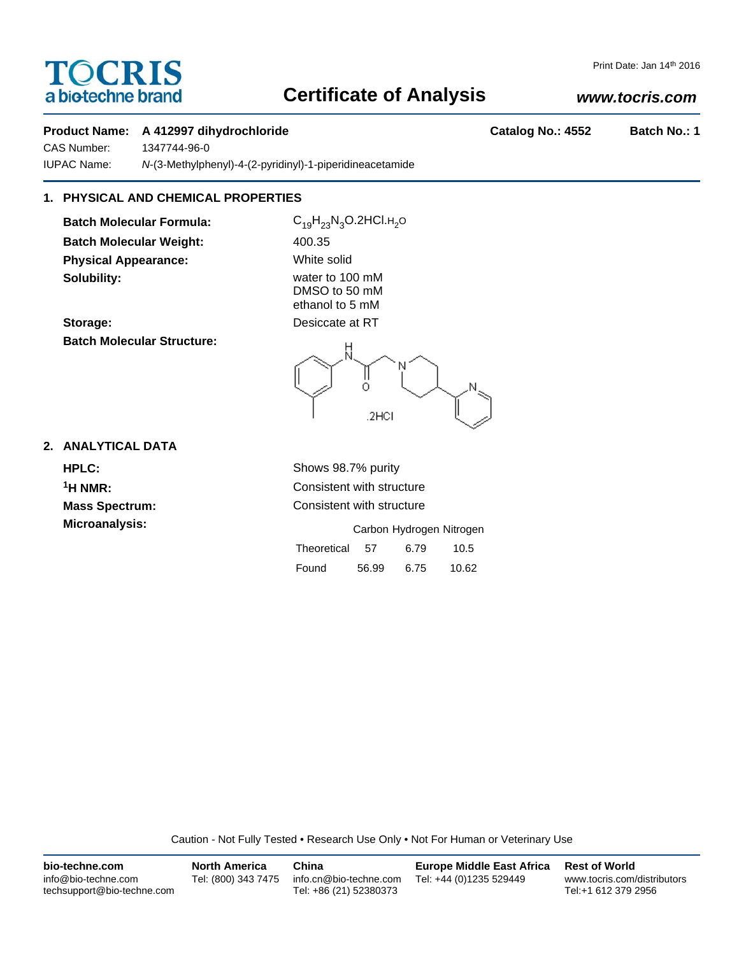# TOCRIS a biotechne brand

# **Certificate of Analysis**

# *www.tocris.com*

Print Date: Jan 14th 2016

## **Product Name: A 412997 dihydrochloride Catalog No.: 4552 Batch No.: 1**

CAS Number: 1347744-96-0 IUPAC Name: *N*-(3-Methylphenyl)-4-(2-pyridinyl)-1-piperidineacetamide

# **1. PHYSICAL AND CHEMICAL PROPERTIES**

**Batch Molecular Formula:** C<sub>19</sub>H<sub>23</sub>N<sub>3</sub>O.2HCl.H<sub>2</sub>O **Batch Molecular Weight:** 400.35 **Physical Appearance:** White solid **Solubility:** water to 100 mM

DMSO to 50 mM ethanol to 5 mM





## **2. ANALYTICAL DATA**

**HPLC:** Shows 98.7% purity **Microanalysis:** 

**1H NMR:** Consistent with structure **Mass Spectrum:** Consistent with structure

|             |       |      | Carbon Hydrogen Nitrogen |
|-------------|-------|------|--------------------------|
| Theoretical | 57    | 6.79 | 10.5                     |
| Found       | 56.99 | 6.75 | 10.62                    |

Caution - Not Fully Tested • Research Use Only • Not For Human or Veterinary Use

| bio-techne.com                                    | <b>North America</b> | China                                            | <b>Europe Middle East Africa</b> | <b>Rest of World</b>                               |
|---------------------------------------------------|----------------------|--------------------------------------------------|----------------------------------|----------------------------------------------------|
| info@bio-techne.com<br>techsupport@bio-techne.com | Tel: (800) 343 7475  | info.cn@bio-techne.com<br>Tel: +86 (21) 52380373 | Tel: +44 (0)1235 529449          | www.tocris.com/distributors<br>Tel:+1 612 379 2956 |